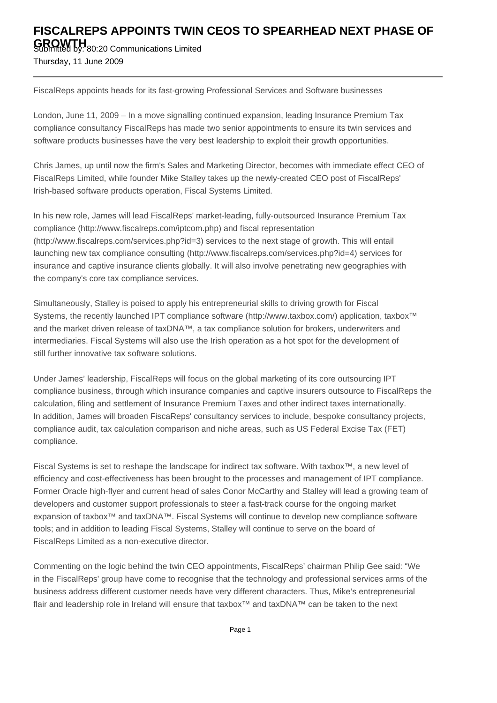## **FISCALREPS APPOINTS TWIN CEOS TO SPEARHEAD NEXT PHASE OF**

**GROWTH**<br>Submitted by: 80:20 Communications Limited Thursday, 11 June 2009

FiscalReps appoints heads for its fast-growing Professional Services and Software businesses

London, June 11, 2009 – In a move signalling continued expansion, leading Insurance Premium Tax compliance consultancy FiscalReps has made two senior appointments to ensure its twin services and software products businesses have the very best leadership to exploit their growth opportunities.

Chris James, up until now the firm's Sales and Marketing Director, becomes with immediate effect CEO of FiscalReps Limited, while founder Mike Stalley takes up the newly-created CEO post of FiscalReps' Irish-based software products operation, Fiscal Systems Limited.

In his new role, James will lead FiscalReps' market-leading, fully-outsourced Insurance Premium Tax compliance (http://www.fiscalreps.com/iptcom.php) and fiscal representation (http://www.fiscalreps.com/services.php?id=3) services to the next stage of growth. This will entail launching new tax compliance consulting (http://www.fiscalreps.com/services.php?id=4) services for insurance and captive insurance clients globally. It will also involve penetrating new geographies with the company's core tax compliance services.

Simultaneously, Stalley is poised to apply his entrepreneurial skills to driving growth for Fiscal Systems, the recently launched IPT compliance software (http://www.taxbox.com/) application, taxbox™ and the market driven release of taxDNA™, a tax compliance solution for brokers, underwriters and intermediaries. Fiscal Systems will also use the Irish operation as a hot spot for the development of still further innovative tax software solutions.

Under James' leadership, FiscalReps will focus on the global marketing of its core outsourcing IPT compliance business, through which insurance companies and captive insurers outsource to FiscalReps the calculation, filing and settlement of Insurance Premium Taxes and other indirect taxes internationally. In addition, James will broaden FiscaReps' consultancy services to include, bespoke consultancy projects, compliance audit, tax calculation comparison and niche areas, such as US Federal Excise Tax (FET) compliance.

Fiscal Systems is set to reshape the landscape for indirect tax software. With taxbox™, a new level of efficiency and cost-effectiveness has been brought to the processes and management of IPT compliance. Former Oracle high-flyer and current head of sales Conor McCarthy and Stalley will lead a growing team of developers and customer support professionals to steer a fast-track course for the ongoing market expansion of taxbox<sup>™</sup> and taxDNA™. Fiscal Systems will continue to develop new compliance software tools; and in addition to leading Fiscal Systems, Stalley will continue to serve on the board of FiscalReps Limited as a non-executive director.

Commenting on the logic behind the twin CEO appointments, FiscalReps' chairman Philip Gee said: "We in the FiscalReps' group have come to recognise that the technology and professional services arms of the business address different customer needs have very different characters. Thus, Mike's entrepreneurial flair and leadership role in Ireland will ensure that taxbox™ and taxDNA™ can be taken to the next